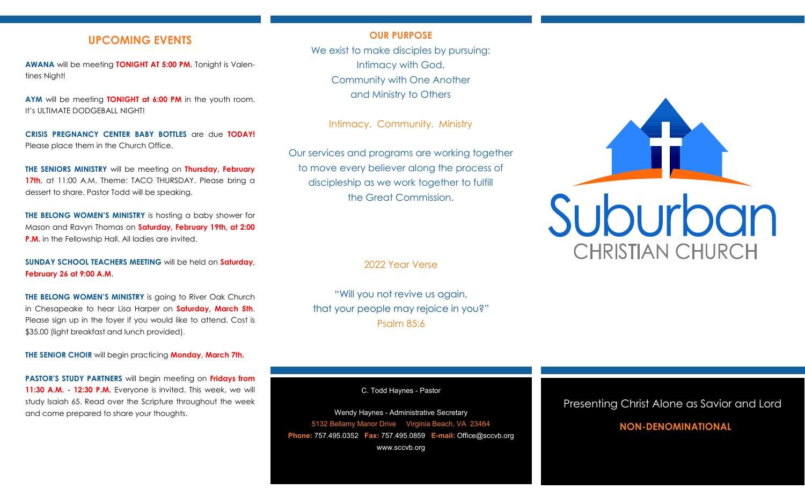# **UPCOMING EVENTS**

**AWANA** will be meeting **TONIGHT AT 5:00 PM.** Tonight is Valentines Night!

**AYM** will be meeting **TONIGHT at 6:00 PM** in the youth room. It's ULTIMATE DODGEBALL NIGHT!

**CRISIS PREGNANCY CENTER BABY BOTTLES** are due **TODAY!**  Please place them in the Church Office.

**THE SENIORS MINISTRY** will be meeting on **Thursday, February**  17th, at 11:00 A.M. Theme: TACO THURSDAY. Please bring a dessert to share. Pastor Todd will be speaking.

**THE BELONG WOMEN'S MINISTRY** is hosting a baby shower for Mason and Ravyn Thomas on **Saturday, February 19th, at 2:00 P.M.** in the Fellowship Hall. All ladies are invited.

**SUNDAY SCHOOL TEACHERS MEETING** will be held on **Saturday, February 26 at 9:00 A.M**.

**THE BELONG WOMEN'S MINISTRY** is going to River Oak Church in Chesapeake to hear Lisa Harper on **Saturday, March 5th**. Please sign up in the foyer if you would like to attend. Cost is \$35.00 (light breakfast and lunch provided).

**THE SENIOR CHOIR** will begin practicing **Monday, March 7th.**

**PASTOR'S STUDY PARTNERS** will begin meeting on **Fridays from 11:30 A.M. - 12:30 P.M.** Everyone is invited. This week, we will study Isaiah 65. Read over the Scripture throughout the week and come prepared to share your thoughts.

### **OUR PURPOSE**

We exist to make disciples by pursuing: Intimacy with God, Community with One Another and Ministry to Others

Intimacy. Community. Ministry

Our services and programs are working together to move every believer along the process of discipleship as we work together to fulfill the Great Commission.

2022 Year Verse

"Will you not revive us again, that your people may rejoice in you?" Psalm 85:6

C. Todd Haynes - Pastor

Wendy Haynes - Administrative Secretary 5132 Bellamy Manor Drive Virginia Beach, VA 23464 **Phone:** 757.495.0352 **Fax:** 757.495.0859 **E-mail:** Office@sccvb.org www.sccvb.org



## Presenting Christ Alone as Savior and Lord

# **NON-DENOMINATIONAL**